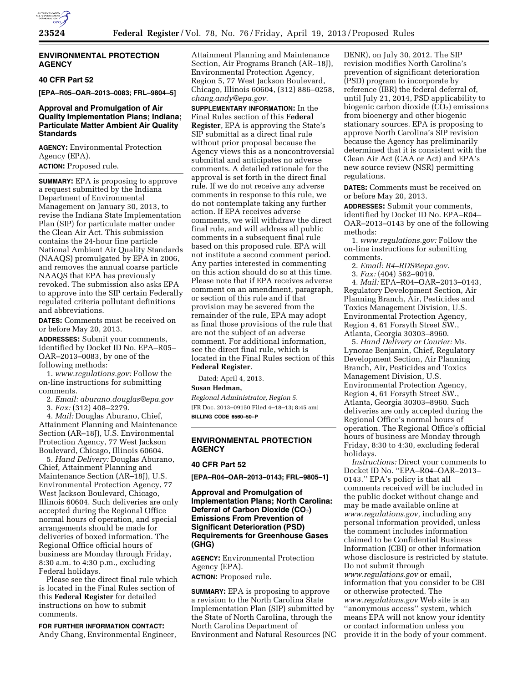

# **ENVIRONMENTAL PROTECTION AGENCY**

# **40 CFR Part 52**

**[EPA–R05–OAR–2013–0083; FRL–9804–5]** 

# **Approval and Promulgation of Air Quality Implementation Plans; Indiana; Particulate Matter Ambient Air Quality Standards**

**AGENCY:** Environmental Protection Agency (EPA).

# **ACTION:** Proposed rule.

**SUMMARY:** EPA is proposing to approve a request submitted by the Indiana Department of Environmental Management on January 30, 2013, to revise the Indiana State Implementation Plan (SIP) for particulate matter under the Clean Air Act. This submission contains the 24-hour fine particle National Ambient Air Quality Standards (NAAQS) promulgated by EPA in 2006, and removes the annual coarse particle NAAQS that EPA has previously revoked. The submission also asks EPA to approve into the SIP certain Federally regulated criteria pollutant definitions and abbreviations.

**DATES:** Comments must be received on or before May 20, 2013.

**ADDRESSES:** Submit your comments, identified by Docket ID No. EPA–R05– OAR–2013–0083, by one of the following methods:

1. *[www.regulations.gov:](http://www.regulations.gov)* Follow the on-line instructions for submitting comments.

2. *Email: [aburano.douglas@epa.gov](mailto:aburano.douglas@epa.gov)* 

3. *Fax:* (312) 408–2279.

4. *Mail:* Douglas Aburano, Chief, Attainment Planning and Maintenance Section (AR–18J), U.S. Environmental Protection Agency, 77 West Jackson Boulevard, Chicago, Illinois 60604.

5. *Hand Delivery:* Douglas Aburano, Chief, Attainment Planning and Maintenance Section (AR–18J), U.S. Environmental Protection Agency, 77 West Jackson Boulevard, Chicago, Illinois 60604. Such deliveries are only accepted during the Regional Office normal hours of operation, and special arrangements should be made for deliveries of boxed information. The Regional Office official hours of business are Monday through Friday, 8:30 a.m. to 4:30 p.m., excluding Federal holidays.

Please see the direct final rule which is located in the Final Rules section of this **Federal Register** for detailed instructions on how to submit comments.

**FOR FURTHER INFORMATION CONTACT:**  Andy Chang, Environmental Engineer, Attainment Planning and Maintenance Section, Air Programs Branch (AR–18J), Environmental Protection Agency, Region 5, 77 West Jackson Boulevard, Chicago, Illinois 60604, (312) 886–0258, *[chang.andy@epa.gov.](mailto:chang.andy@epa.gov)* 

**SUPPLEMENTARY INFORMATION:** In the Final Rules section of this **Federal Register**, EPA is approving the State's SIP submittal as a direct final rule without prior proposal because the Agency views this as a noncontroversial submittal and anticipates no adverse comments. A detailed rationale for the approval is set forth in the direct final rule. If we do not receive any adverse comments in response to this rule, we do not contemplate taking any further action. If EPA receives adverse comments, we will withdraw the direct final rule, and will address all public comments in a subsequent final rule based on this proposed rule. EPA will not institute a second comment period. Any parties interested in commenting on this action should do so at this time. Please note that if EPA receives adverse comment on an amendment, paragraph, or section of this rule and if that provision may be severed from the remainder of the rule, EPA may adopt as final those provisions of the rule that are not the subject of an adverse comment. For additional information, see the direct final rule, which is located in the Final Rules section of this **Federal Register**.

Dated: April 4, 2013.

## **Susan Hedman,**

*Regional Administrator, Region 5.*  [FR Doc. 2013–09150 Filed 4–18–13; 8:45 am] **BILLING CODE 6560–50–P** 

# **ENVIRONMENTAL PROTECTION AGENCY**

## **40 CFR Part 52**

**[EPA–R04–OAR–2013–0143; FRL–9805–1]** 

# **Approval and Promulgation of Implementation Plans; North Carolina: Deferral of Carbon Dioxide (CO**2**) Emissions From Prevention of Significant Deterioration (PSD) Requirements for Greenhouse Gases (GHG)**

**AGENCY:** Environmental Protection Agency (EPA).

#### **ACTION:** Proposed rule.

**SUMMARY:** EPA is proposing to approve a revision to the North Carolina State Implementation Plan (SIP) submitted by the State of North Carolina, through the North Carolina Department of Environment and Natural Resources (NC

DENR), on July 30, 2012. The SIP revision modifies North Carolina's prevention of significant deterioration (PSD) program to incorporate by reference (IBR) the federal deferral of, until July 21, 2014, PSD applicability to biogenic carbon dioxide  $(CO<sub>2</sub>)$  emissions from bioenergy and other biogenic stationary sources. EPA is proposing to approve North Carolina's SIP revision because the Agency has preliminarily determined that it is consistent with the Clean Air Act (CAA or Act) and EPA's new source review (NSR) permitting regulations.

**DATES:** Comments must be received on or before May 20, 2013.

**ADDRESSES:** Submit your comments, identified by Docket ID No. EPA–R04– OAR–2013–0143 by one of the following methods:

1. *[www.regulations.gov:](http://www.regulations.gov)* Follow the on-line instructions for submitting comments.

- 2. *Email: [R4–RDS@epa.gov.](mailto:R4-RDS@epa.gov)*
- 3. *Fax:* (404) 562–9019.

4. *Mail:* EPA–R04–OAR–2013–0143, Regulatory Development Section, Air Planning Branch, Air, Pesticides and Toxics Management Division, U.S. Environmental Protection Agency, Region 4, 61 Forsyth Street SW., Atlanta, Georgia 30303–8960.

5. *Hand Delivery or Courier:* Ms. Lynorae Benjamin, Chief, Regulatory Development Section, Air Planning Branch, Air, Pesticides and Toxics Management Division, U.S. Environmental Protection Agency, Region 4, 61 Forsyth Street SW., Atlanta, Georgia 30303–8960. Such deliveries are only accepted during the Regional Office's normal hours of operation. The Regional Office's official hours of business are Monday through Friday, 8:30 to 4:30, excluding federal holidays.

*Instructions:* Direct your comments to Docket ID No. ''EPA–R04–OAR–2013– 0143.'' EPA's policy is that all comments received will be included in the public docket without change and may be made available online at *[www.regulations.gov,](http://www.regulations.gov)* including any personal information provided, unless the comment includes information claimed to be Confidential Business Information (CBI) or other information whose disclosure is restricted by statute. Do not submit through *[www.regulations.gov](http://www.regulations.gov)* or email, information that you consider to be CBI or otherwise protected. The *[www.regulations.gov](http://www.regulations.gov)* Web site is an ''anonymous access'' system, which means EPA will not know your identity or contact information unless you provide it in the body of your comment.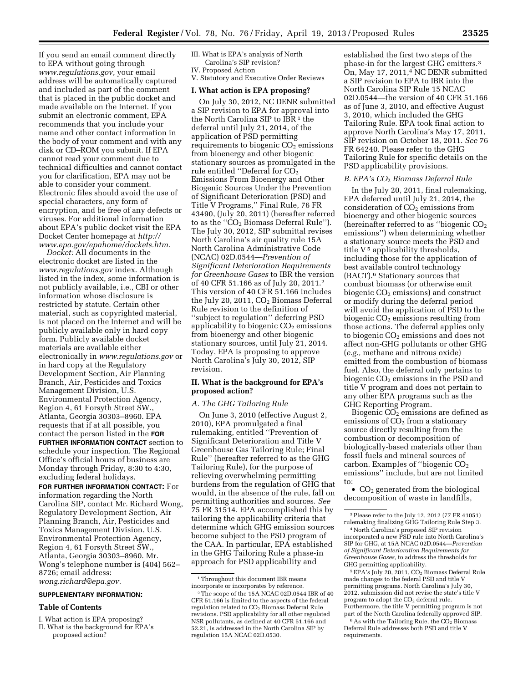If you send an email comment directly to EPA without going through *[www.regulations.gov,](http://www.regulations.gov)* your email address will be automatically captured and included as part of the comment that is placed in the public docket and made available on the Internet. If you submit an electronic comment, EPA recommends that you include your name and other contact information in the body of your comment and with any disk or CD–ROM you submit. If EPA cannot read your comment due to technical difficulties and cannot contact you for clarification, EPA may not be able to consider your comment. Electronic files should avoid the use of special characters, any form of encryption, and be free of any defects or viruses. For additional information about EPA's public docket visit the EPA Docket Center homepage at *[http://](http://www.epa.gov/epahome/dockets.htm) [www.epa.gov/epahome/dockets.htm.](http://www.epa.gov/epahome/dockets.htm)* 

*Docket:* All documents in the electronic docket are listed in the *[www.regulations.gov](http://www.regulations.gov)* index. Although listed in the index, some information is not publicly available, i.e., CBI or other information whose disclosure is restricted by statute. Certain other material, such as copyrighted material, is not placed on the Internet and will be publicly available only in hard copy form. Publicly available docket materials are available either electronically in *[www.regulations.gov](http://www.regulations.gov)* or in hard copy at the Regulatory Development Section, Air Planning Branch, Air, Pesticides and Toxics Management Division, U.S. Environmental Protection Agency, Region 4, 61 Forsyth Street SW., Atlanta, Georgia 30303–8960. EPA requests that if at all possible, you contact the person listed in the **FOR FURTHER INFORMATION CONTACT** section to schedule your inspection. The Regional Office's official hours of business are Monday through Friday, 8:30 to 4:30, excluding federal holidays.

# **FOR FURTHER INFORMATION CONTACT:** For

information regarding the North Carolina SIP, contact Mr. Richard Wong, Regulatory Development Section, Air Planning Branch, Air, Pesticides and Toxics Management Division, U.S. Environmental Protection Agency, Region 4, 61 Forsyth Street SW., Atlanta, Georgia 30303–8960. Mr. Wong's telephone number is (404) 562– 8726; email address: *[wong.richard@epa.gov.](mailto:wong.richard@epa.gov)* 

# **SUPPLEMENTARY INFORMATION:**

## **Table of Contents**

I. What action is EPA proposing?

III. What is EPA's analysis of North Carolina's SIP revision?

# IV. Proposed Action

V. Statutory and Executive Order Reviews

# **I. What action is EPA proposing?**

On July 30, 2012, NC DENR submitted a SIP revision to EPA for approval into the North Carolina SIP to IBR<sup>1</sup> the deferral until July 21, 2014, of the application of PSD permitting requirements to biogenic  $CO<sub>2</sub>$  emissions from bioenergy and other biogenic stationary sources as promulgated in the rule entitled "Deferral for  $CO<sub>2</sub>$ Emissions From Bioenergy and Other Biogenic Sources Under the Prevention of Significant Deterioration (PSD) and Title V Programs,'' Final Rule, 76 FR 43490, (July 20, 2011) (hereafter referred to as the "CO<sub>2</sub> Biomass Deferral Rule"). The July 30, 2012, SIP submittal revises North Carolina's air quality rule 15A North Carolina Administrative Code (NCAC) 02D.0544—*Prevention of Significant Deterioration Requirements for Greenhouse Gases* to IBR the version of 40 CFR 51.166 as of July 20, 2011.2 This version of 40 CFR 51.166 includes the July 20, 2011,  $CO<sub>2</sub>$  Biomass Deferral Rule revision to the definition of ''subject to regulation'' deferring PSD applicability to biogenic  $CO<sub>2</sub>$  emissions from bioenergy and other biogenic stationary sources, until July 21, 2014. Today, EPA is proposing to approve North Carolina's July 30, 2012, SIP revision.

# **II. What is the background for EPA's proposed action?**

#### *A. The GHG Tailoring Rule*

On June 3, 2010 (effective August 2, 2010), EPA promulgated a final rulemaking, entitled ''Prevention of Significant Deterioration and Title V Greenhouse Gas Tailoring Rule; Final Rule'' (hereafter referred to as the GHG Tailoring Rule), for the purpose of relieving overwhelming permitting burdens from the regulation of GHG that would, in the absence of the rule, fall on permitting authorities and sources. *See*  75 FR 31514. EPA accomplished this by tailoring the applicability criteria that determine which GHG emission sources become subject to the PSD program of the CAA. In particular, EPA established in the GHG Tailoring Rule a phase-in approach for PSD applicability and

established the first two steps of the phase-in for the largest GHG emitters.3 On, May 17, 2011,4 NC DENR submitted a SIP revision to EPA to IBR into the North Carolina SIP Rule 15 NCAC 02D.0544—the version of 40 CFR 51.166 as of June 3, 2010, and effective August 3, 2010, which included the GHG Tailoring Rule. EPA took final action to approve North Carolina's May 17, 2011, SIP revision on October 18, 2011. *See* 76 FR 64240. Please refer to the GHG Tailoring Rule for specific details on the PSD applicability provisions.

#### *B. EPA's CO*2 *Biomass Deferral Rule*

In the July 20, 2011, final rulemaking, EPA deferred until July 21, 2014, the consideration of  $CO<sub>2</sub>$  emissions from bioenergy and other biogenic sources (hereinafter referred to as "biogenic  $CO<sub>2</sub>$ emissions'') when determining whether a stationary source meets the PSD and title  $V^5$  applicability thresholds, including those for the application of best available control technology (BACT).6 Stationary sources that combust biomass (or otherwise emit biogenic  $CO<sub>2</sub>$  emissions) and construct or modify during the deferral period will avoid the application of PSD to the biogenic  $CO<sub>2</sub>$  emissions resulting from those actions. The deferral applies only to biogenic CO<sub>2</sub> emissions and does not affect non-GHG pollutants or other GHG (*e.g.,* methane and nitrous oxide) emitted from the combustion of biomass fuel. Also, the deferral only pertains to biogenic  $CO<sub>2</sub>$  emissions in the PSD and title V program and does not pertain to any other EPA programs such as the GHG Reporting Program.

Biogenic  $CO<sub>2</sub>$  emissions are defined as emissions of  $CO<sub>2</sub>$  from a stationary source directly resulting from the combustion or decomposition of biologically-based materials other than fossil fuels and mineral sources of carbon. Examples of "biogenic CO<sub>2</sub> emissions'' include, but are not limited to:

•  $CO<sub>2</sub>$  generated from the biological decomposition of waste in landfills,

<sup>5</sup> EPA's July 20, 2011, CO<sub>2</sub> Biomass Deferral Rule made changes to the federal PSD and title V permitting programs. North Carolina's July 30, 2012, submission did not revise the state's title V program to adopt the CO<sub>2</sub> deferral rule. Furthermore, the title V permitting program is not part of the North Carolina federally approved SIP.

 $^6\hspace{0.04cm}\mathrm{As}$  with the Tailoring Rule, the CO2 Biomass Deferral Rule addresses both PSD and title V requirements.

II. What is the background for EPA's proposed action?

<sup>1</sup>Throughout this document IBR means incorporate or incorporates by reference.

<sup>2</sup>The scope of the 15A NCAC 02D.0544 IBR of 40 CFR 51.166 is limited to the aspects of the federal regulation related to CO<sub>2</sub> Biomass Deferral Rule revisions. PSD applicability for all other regulated NSR pollutants, as defined at 40 CFR 51.166 and 52.21, is addressed in the North Carolina SIP by regulation 15A NCAC 02D.0530.

<sup>3</sup>Please refer to the July 12, 2012 (77 FR 41051) rulemaking finalizing GHG Tailoring Rule Step 3.

<sup>4</sup>North Carolina's proposed SIP revision incorporated a new PSD rule into North Carolina's SIP for GHG, at 15A NCAC 02D.0544*—Prevention of Significant Deterioration Requirements for Greenhouse Gases,* to address the thresholds for GHG permitting applicability.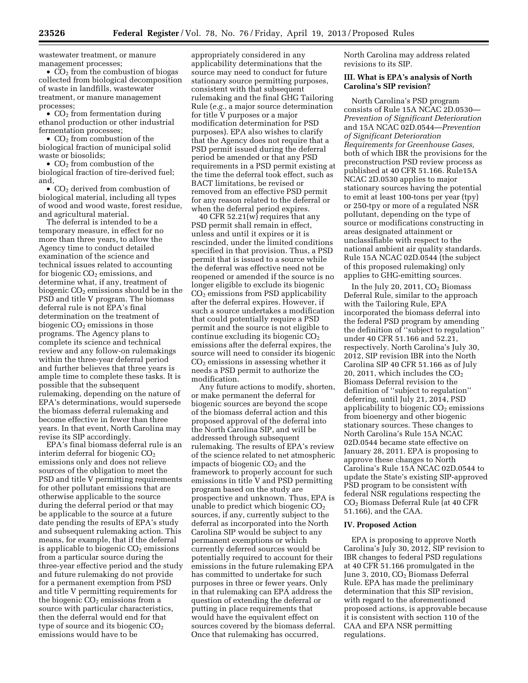wastewater treatment, or manure management processes;

•  $CO<sub>2</sub>$  from the combustion of biogas collected from biological decomposition of waste in landfills, wastewater treatment, or manure management processes;

•  $CO<sub>2</sub>$  from fermentation during ethanol production or other industrial fermentation processes;

•  $CO<sub>2</sub>$  from combustion of the biological fraction of municipal solid waste or biosolids;

•  $CO<sub>2</sub>$  from combustion of the biological fraction of tire-derived fuel; and,

•  $CO<sub>2</sub>$  derived from combustion of biological material, including all types of wood and wood waste, forest residue, and agricultural material.

The deferral is intended to be a temporary measure, in effect for no more than three years, to allow the Agency time to conduct detailed examination of the science and technical issues related to accounting for biogenic  $CO<sub>2</sub>$  emissions, and determine what, if any, treatment of biogenic  $CO<sub>2</sub>$  emissions should be in the PSD and title V program. The biomass deferral rule is not EPA's final determination on the treatment of biogenic  $CO<sub>2</sub>$  emissions in those programs. The Agency plans to complete its science and technical review and any follow-on rulemakings within the three-year deferral period and further believes that three years is ample time to complete these tasks. It is possible that the subsequent rulemaking, depending on the nature of EPA's determinations, would supersede the biomass deferral rulemaking and become effective in fewer than three years. In that event, North Carolina may revise its SIP accordingly.

EPA's final biomass deferral rule is an interim deferral for biogenic CO2 emissions only and does not relieve sources of the obligation to meet the PSD and title V permitting requirements for other pollutant emissions that are otherwise applicable to the source during the deferral period or that may be applicable to the source at a future date pending the results of EPA's study and subsequent rulemaking action. This means, for example, that if the deferral is applicable to biogenic  $CO<sub>2</sub>$  emissions from a particular source during the three-year effective period and the study and future rulemaking do not provide for a permanent exemption from PSD and title V permitting requirements for the biogenic  $CO<sub>2</sub>$  emissions from a source with particular characteristics, then the deferral would end for that type of source and its biogenic  $CO<sub>2</sub>$ emissions would have to be

appropriately considered in any applicability determinations that the source may need to conduct for future stationary source permitting purposes, consistent with that subsequent rulemaking and the final GHG Tailoring Rule (*e.g.,* a major source determination for title V purposes or a major modification determination for PSD purposes). EPA also wishes to clarify that the Agency does not require that a PSD permit issued during the deferral period be amended or that any PSD requirements in a PSD permit existing at the time the deferral took effect, such as BACT limitations, be revised or removed from an effective PSD permit for any reason related to the deferral or when the deferral period expires.

40 CFR 52.21(w) requires that any PSD permit shall remain in effect, unless and until it expires or it is rescinded, under the limited conditions specified in that provision. Thus, a PSD permit that is issued to a source while the deferral was effective need not be reopened or amended if the source is no longer eligible to exclude its biogenic  $CO<sub>2</sub>$  emissions from PSD applicability after the deferral expires. However, if such a source undertakes a modification that could potentially require a PSD permit and the source is not eligible to continue excluding its biogenic  $CO<sub>2</sub>$ emissions after the deferral expires, the source will need to consider its biogenic  $CO<sub>2</sub>$  emissions in assessing whether it needs a PSD permit to authorize the modification.

Any future actions to modify, shorten, or make permanent the deferral for biogenic sources are beyond the scope of the biomass deferral action and this proposed approval of the deferral into the North Carolina SIP, and will be addressed through subsequent rulemaking. The results of EPA's review of the science related to net atmospheric impacts of biogenic  $CO<sub>2</sub>$  and the framework to properly account for such emissions in title V and PSD permitting program based on the study are prospective and unknown. Thus, EPA is unable to predict which biogenic  $CO<sub>2</sub>$ sources, if any, currently subject to the deferral as incorporated into the North Carolina SIP would be subject to any permanent exemptions or which currently deferred sources would be potentially required to account for their emissions in the future rulemaking EPA has committed to undertake for such purposes in three or fewer years. Only in that rulemaking can EPA address the question of extending the deferral or putting in place requirements that would have the equivalent effect on sources covered by the biomass deferral. Once that rulemaking has occurred,

North Carolina may address related revisions to its SIP.

## **III. What is EPA's analysis of North Carolina's SIP revision?**

North Carolina's PSD program consists of Rule 15A NCAC 2D.0530— *Prevention of Significant Deterioration*  and 15A NCAC 02D.0544—*Prevention of Significant Deterioration Requirements for Greenhouse Gases,*  both of which IBR the provisions for the preconstruction PSD review process as published at 40 CFR 51.166. Rule15A NCAC 2D.0530 applies to major stationary sources having the potential to emit at least 100-tons per year (tpy) or 250-tpy or more of a regulated NSR pollutant, depending on the type of source or modifications constructing in areas designated attainment or unclassifiable with respect to the national ambient air quality standards. Rule 15A NCAC 02D.0544 (the subject of this proposed rulemaking) only applies to GHG-emitting sources.

In the July 20, 2011,  $CO<sub>2</sub>$  Biomass Deferral Rule, similar to the approach with the Tailoring Rule, EPA incorporated the biomass deferral into the federal PSD program by amending the definition of ''subject to regulation'' under 40 CFR 51.166 and 52.21, respectively. North Carolina's July 30, 2012, SIP revision IBR into the North Carolina SIP 40 CFR 51.166 as of July 20, 2011, which includes the  $CO<sub>2</sub>$ Biomass Deferral revision to the definition of ''subject to regulation'' deferring, until July 21, 2014, PSD applicability to biogenic  $CO<sub>2</sub>$  emissions from bioenergy and other biogenic stationary sources. These changes to North Carolina's Rule 15A NCAC 02D.0544 became state effective on January 28, 2011. EPA is proposing to approve these changes to North Carolina's Rule 15A NCAC 02D.0544 to update the State's existing SIP-approved PSD program to be consistent with federal NSR regulations respecting the CO2 Biomass Deferral Rule (at 40 CFR 51.166), and the CAA.

## **IV. Proposed Action**

EPA is proposing to approve North Carolina's July 30, 2012, SIP revision to IBR changes to federal PSD regulations at 40 CFR 51.166 promulgated in the June 3, 2010, CO<sub>2</sub> Biomass Deferral Rule. EPA has made the preliminary determination that this SIP revision, with regard to the aforementioned proposed actions, is approvable because it is consistent with section 110 of the CAA and EPA NSR permitting regulations.